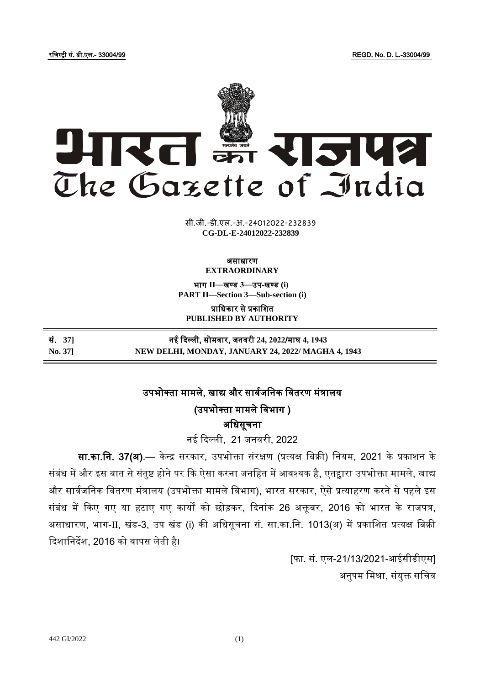रजजस्ट्री सं. डी.एल.- 33004/99 REGD. No. D. L.-33004/99



**xxxGIDHxxx xxx**GIDE**xxx CG-DL-E-24012022-232839**सी.जी.-डी.एल.-अ.-24012022-232839

#### असाधारण **EXTRAORDINARY**

भाग **II**—खण् ड **3**—उप-खण् ड **(i) PART II—Section 3—Sub-section (i)**

प्राजधकार से प्रकाजित **PUBLISHED BY AUTHORITY**

| सं. 371 | नई दिल्ली, सोमवार, जनवरी 24, 2022/माघ 4, 1943      |
|---------|----------------------------------------------------|
| No. 371 | NEW DELHI, MONDAY, JANUARY 24, 2022/ MAGHA 4, 1943 |

# उपभोक्ता मामले. खाद्य और सार्वजनिक वितरण मंत्रालय

(उपभोक्ता मामले विभाग )

अजधसूचिा

िई दिल्ली, 21 जिर्री, 2022

सा.<mark>का.नि. 37(अ)</mark>.— केन्द्र सरकार, उपभोक्ता संरक्षण (प्रत्यक्ष बिक्री) नियम, 2021 के प्रकाशन के संबंध में और इस बात से संतुष्ट होने पर कि ऐसा करना जनहित में आवश्यक है, एतद्<mark>वा</mark>रा उपभोक्ता मामले, खाद्य और सार्वजनिक वितरण मंत्रालय (उपभोक्ता मामले विभाग), भारत सरकार, ऐसे प्रत्याहरण करने से पहले इस संबंध में किए गए या हटाए गए कार्यों को छोड़कर, दिनांक 26 अक्तूबर, 2016 को भारत के राजपत्र, असाधारण, भाग-II, खंड-3, उप खंड (i) की अजधसूचिा सं. सा.का.जि. 1013(अ) में प्रकाजित प्रत्यक्ष जबक्री दिशानिर्देश, 2016 को वापस लेती है।

> [फा. सं. एल-21/13/2021-आईसीडीएस] अनुपम मिश्रा, संयुक्त सचिव